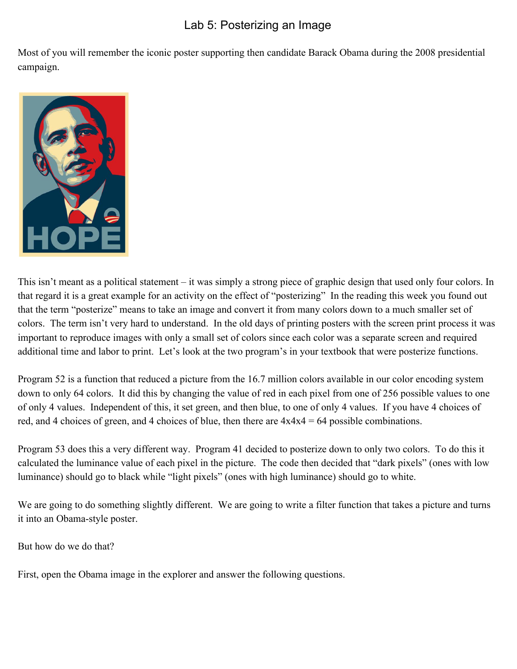## Lab 5: Posterizing an Image

Most of you will remember the iconic poster supporting then candidate Barack Obama during the 2008 presidential campaign.



This isn't meant as a political statement – it was simply a strong piece of graphic design that used only four colors. In that regard it is a great example for an activity on the effect of "posterizing" In the reading this week you found out that the term "posterize" means to take an image and convert it from many colors down to a much smaller set of colors. The term isn't very hard to understand. In the old days of printing posters with the screen print process it was important to reproduce images with only a small set of colors since each color was a separate screen and required additional time and labor to print. Let's look at the two program's in your textbook that were posterize functions.

Program 52 is a function that reduced a picture from the 16.7 million colors available in our color encoding system down to only 64 colors. It did this by changing the value of red in each pixel from one of 256 possible values to one of only 4 values. Independent of this, it set green, and then blue, to one of only 4 values. If you have 4 choices of red, and 4 choices of green, and 4 choices of blue, then there are  $4x4x4 = 64$  possible combinations.

Program 53 does this a very different way. Program 41 decided to posterize down to only two colors. To do this it calculated the luminance value of each pixel in the picture. The code then decided that "dark pixels" (ones with low luminance) should go to black while "light pixels" (ones with high luminance) should go to white.

We are going to do something slightly different. We are going to write a filter function that takes a picture and turns it into an Obama-style poster.

But how do we do that?

First, open the Obama image in the explorer and answer the following questions.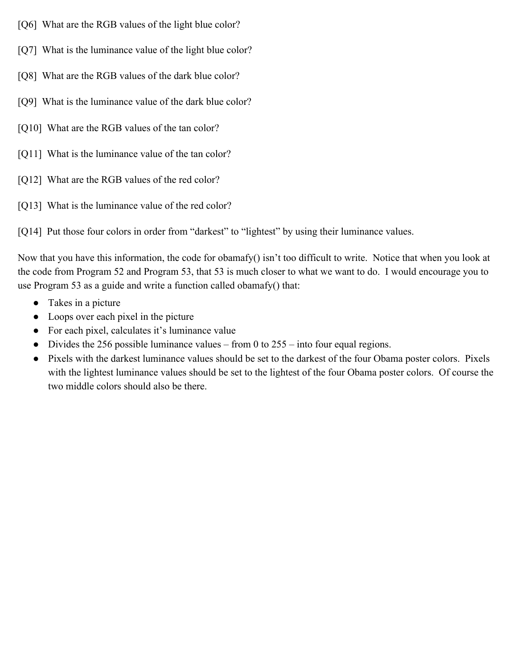- [Q6] What are the RGB values of the light blue color?
- [Q7] What is the luminance value of the light blue color?
- [Q8] What are the RGB values of the dark blue color?
- [Q9] What is the luminance value of the dark blue color?
- [Q10] What are the RGB values of the tan color?
- [Q11] What is the luminance value of the tan color?
- [Q12] What are the RGB values of the red color?
- [Q13] What is the luminance value of the red color?

[Q14] Put those four colors in order from "darkest" to "lightest" by using their luminance values.

Now that you have this information, the code for obamafy() isn't too difficult to write. Notice that when you look at the code from Program 52 and Program 53, that 53 is much closer to what we want to do. I would encourage you to use Program 53 as a guide and write a function called obamafy() that:

- Takes in a picture
- Loops over each pixel in the picture
- For each pixel, calculates it's luminance value
- Divides the 256 possible luminance values from 0 to  $255$  into four equal regions.
- Pixels with the darkest luminance values should be set to the darkest of the four Obama poster colors. Pixels with the lightest luminance values should be set to the lightest of the four Obama poster colors. Of course the two middle colors should also be there.